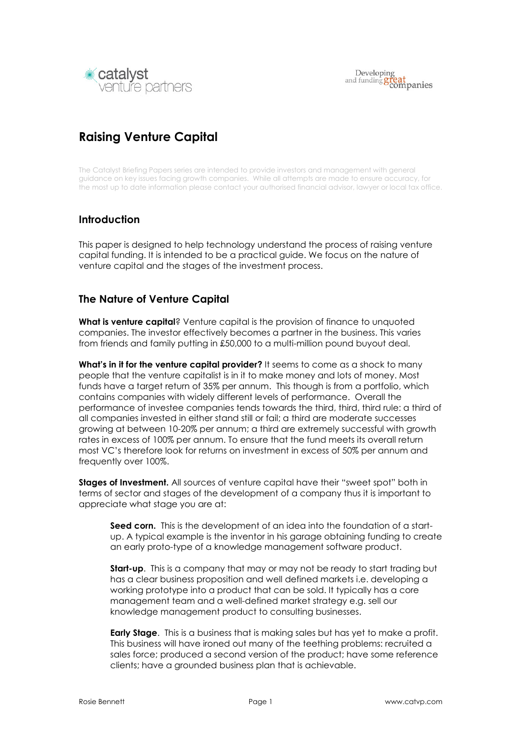

# Raising Venture Capital

The Catalyst Briefing Papers series are intended to provide investors and management with general guidance on key issues facing growth companies. While all attempts are made to ensure accuracy, for the most up to date information please contact your authorised financial advisor, lawyer or local tax office.

## **Introduction**

This paper is designed to help technology understand the process of raising venture capital funding. It is intended to be a practical guide. We focus on the nature of venture capital and the stages of the investment process.

## The Nature of Venture Capital

What is venture capital? Venture capital is the provision of finance to unquoted companies. The investor effectively becomes a partner in the business. This varies from friends and family putting in £50,000 to a multi-million pound buyout deal.

What's in it for the venture capital provider? It seems to come as a shock to many people that the venture capitalist is in it to make money and lots of money. Most funds have a target return of 35% per annum. This though is from a portfolio, which contains companies with widely different levels of performance. Overall the performance of investee companies tends towards the third, third, third rule: a third of all companies invested in either stand still or fail; a third are moderate successes growing at between 10-20% per annum; a third are extremely successful with growth rates in excess of 100% per annum. To ensure that the fund meets its overall return most VC's therefore look for returns on investment in excess of 50% per annum and frequently over 100%.

Stages of Investment. All sources of venture capital have their "sweet spot" both in terms of sector and stages of the development of a company thus it is important to appreciate what stage you are at:

Seed corn. This is the development of an idea into the foundation of a startup. A typical example is the inventor in his garage obtaining funding to create an early proto-type of a knowledge management software product.

**Start-up.** This is a company that may or may not be ready to start trading but has a clear business proposition and well defined markets i.e. developing a working prototype into a product that can be sold. It typically has a core management team and a well-defined market strategy e.g. sell our knowledge management product to consulting businesses.

**Early Stage.** This is a business that is making sales but has yet to make a profit. This business will have ironed out many of the teething problems: recruited a sales force; produced a second version of the product; have some reference clients; have a grounded business plan that is achievable.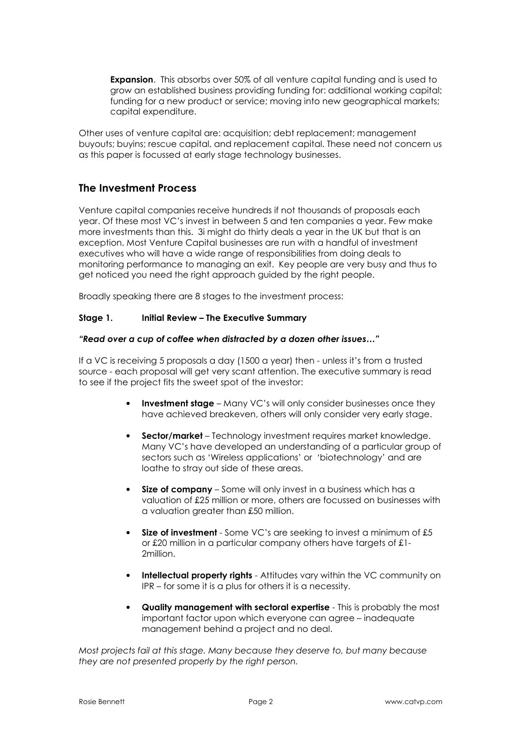Expansion. This absorbs over 50% of all venture capital funding and is used to grow an established business providing funding for: additional working capital; funding for a new product or service; moving into new geographical markets; capital expenditure.

Other uses of venture capital are: acquisition; debt replacement; management buyouts; buyins; rescue capital, and replacement capital. These need not concern us as this paper is focussed at early stage technology businesses.

# The Investment Process

Venture capital companies receive hundreds if not thousands of proposals each year. Of these most VC's invest in between 5 and ten companies a year. Few make more investments than this. 3i might do thirty deals a year in the UK but that is an exception. Most Venture Capital businesses are run with a handful of investment executives who will have a wide range of responsibilities from doing deals to monitoring performance to managing an exit. Key people are very busy and thus to get noticed you need the right approach guided by the right people.

Broadly speaking there are 8 stages to the investment process:

#### Stage 1. Initial Review – The Executive Summary

#### "Read over a cup of coffee when distracted by a dozen other issues…"

If a VC is receiving 5 proposals a day (1500 a year) then - unless it's from a trusted source - each proposal will get very scant attention. The executive summary is read to see if the project fits the sweet spot of the investor:

- Investment stage Many VC's will only consider businesses once they have achieved breakeven, others will only consider very early stage.
- Sector/market Technology investment requires market knowledge. Many VC's have developed an understanding of a particular group of sectors such as 'Wireless applications' or 'biotechnology' and are loathe to stray out side of these areas.
- Size of company Some will only invest in a business which has a valuation of £25 million or more, others are focussed on businesses with a valuation greater than £50 million.
- Size of investment Some VC's are seeking to invest a minimum of £5 or £20 million in a particular company others have targets of £1- 2million.
- Intellectual property rights Attitudes vary within the VC community on IPR – for some it is a plus for others it is a necessity.
- Quality management with sectoral expertise This is probably the most important factor upon which everyone can agree – inadequate management behind a project and no deal.

Most projects fail at this stage. Many because they deserve to, but many because they are not presented properly by the right person.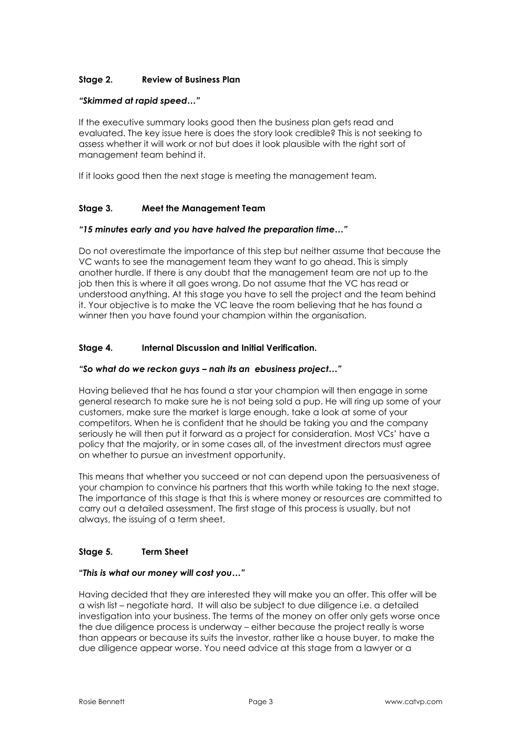## Stage 2. Review of Business Plan

#### "Skimmed at rapid speed…"

If the executive summary looks good then the business plan gets read and evaluated. The key issue here is does the story look credible? This is not seeking to assess whether it will work or not but does it look plausible with the right sort of management team behind it.

If it looks good then the next stage is meeting the management team.

#### Stage 3. Meet the Management Team

#### "15 minutes early and you have halved the preparation time…"

Do not overestimate the importance of this step but neither assume that because the VC wants to see the management team they want to go ahead. This is simply another hurdle. If there is any doubt that the management team are not up to the job then this is where it all goes wrong. Do not assume that the VC has read or understood anything. At this stage you have to sell the project and the team behind it. Your objective is to make the VC leave the room believing that he has found a winner then you have found your champion within the organisation.

#### Stage 4. Internal Discussion and Initial Verification.

#### "So what do we reckon guys – nah its an ebusiness project…"

Having believed that he has found a star your champion will then engage in some general research to make sure he is not being sold a pup. He will ring up some of your customers, make sure the market is large enough, take a look at some of your competitors. When he is confident that he should be taking you and the company seriously he will then put it forward as a project for consideration. Most VCs' have a policy that the majority, or in some cases all, of the investment directors must agree on whether to pursue an investment opportunity.

This means that whether you succeed or not can depend upon the persuasiveness of your champion to convince his partners that this worth while taking to the next stage. The importance of this stage is that this is where money or resources are committed to carry out a detailed assessment. The first stage of this process is usually, but not always, the issuing of a term sheet.

#### Stage 5. Term Sheet

#### "This is what our money will cost you…"

Having decided that they are interested they will make you an offer. This offer will be a wish list – negotiate hard. It will also be subject to due diligence i.e. a detailed investigation into your business. The terms of the money on offer only gets worse once the due diligence process is underway – either because the project really is worse than appears or because its suits the investor, rather like a house buyer, to make the due diligence appear worse. You need advice at this stage from a lawyer or a